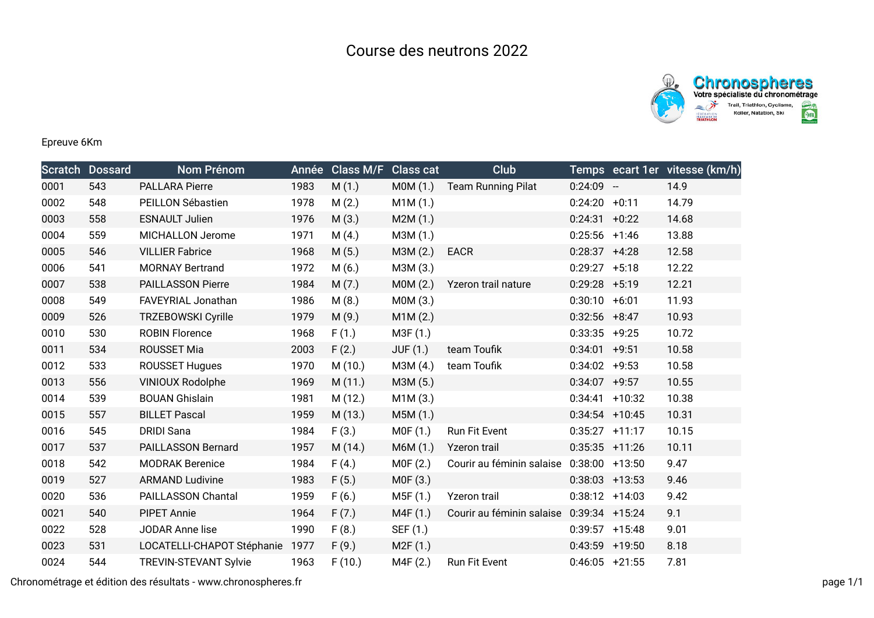



Epreuve 6Km

|      | <b>Scratch Dossard</b> | <b>Nom Prénom</b>            | Année | <b>Class M/F</b> | <b>Class cat</b> | <b>Club</b>               |                   |                  | Temps ecart 1er vitesse (km/h) |
|------|------------------------|------------------------------|-------|------------------|------------------|---------------------------|-------------------|------------------|--------------------------------|
| 0001 | 543                    | <b>PALLARA Pierre</b>        | 1983  | M(1.)            | MOM(1.)          | <b>Team Running Pilat</b> | $0:24:09 -$       |                  | 14.9                           |
| 0002 | 548                    | PEILLON Sébastien            | 1978  | M(2.)            | M1M(1.)          |                           | $0:24:20 +0:11$   |                  | 14.79                          |
| 0003 | 558                    | <b>ESNAULT Julien</b>        | 1976  | M(3.)            | M2M(1.)          |                           | 0:24:31           | $+0:22$          | 14.68                          |
| 0004 | 559                    | MICHALLON Jerome             | 1971  | M(4.)            | M3M (1.)         |                           | $0:25:56$ +1:46   |                  | 13.88                          |
| 0005 | 546                    | <b>VILLIER Fabrice</b>       | 1968  | M(5.)            | M3M (2.)         | <b>EACR</b>               | $0:28:37$ +4:28   |                  | 12.58                          |
| 0006 | 541                    | <b>MORNAY Bertrand</b>       | 1972  | M(6.)            | M3M (3.)         |                           | 0:29:27           | $+5:18$          | 12.22                          |
| 0007 | 538                    | <b>PAILLASSON Pierre</b>     | 1984  | M(7.)            | MOM(2.)          | Yzeron trail nature       | $0:29:28$ +5:19   |                  | 12.21                          |
| 0008 | 549                    | FAVEYRIAL Jonathan           | 1986  | M(8.)            | M0M (3.)         |                           | 0:30:10           | $+6:01$          | 11.93                          |
| 0009 | 526                    | <b>TRZEBOWSKI Cyrille</b>    | 1979  | M(9.)            | M1M(2.)          |                           | $0:32:56$ +8:47   |                  | 10.93                          |
| 0010 | 530                    | <b>ROBIN Florence</b>        | 1968  | F(1.)            | M3F(1.)          |                           | 0:33:35           | $+9:25$          | 10.72                          |
| 0011 | 534                    | ROUSSET Mia                  | 2003  | F(2.)            | <b>JUF (1.)</b>  | team Toufik               | 0:34:01           | $+9:51$          | 10.58                          |
| 0012 | 533                    | <b>ROUSSET Hugues</b>        | 1970  | M(10.)           | M3M (4.)         | team Toufik               | 0:34:02           | $+9:53$          | 10.58                          |
| 0013 | 556                    | <b>VINIOUX Rodolphe</b>      | 1969  | M(11.)           | M3M (5.)         |                           | 0:34:07           | $+9:57$          | 10.55                          |
| 0014 | 539                    | <b>BOUAN Ghislain</b>        | 1981  | M (12.)          | M1M(3.)          |                           | 0:34:41           | $+10:32$         | 10.38                          |
| 0015 | 557                    | <b>BILLET Pascal</b>         | 1959  | M (13.)          | M5M (1.)         |                           |                   | $0:34:54$ +10:45 | 10.31                          |
| 0016 | 545                    | <b>DRIDI Sana</b>            | 1984  | F(3.)            | MOF(1.)          | Run Fit Event             | $0:35:27$ +11:17  |                  | 10.15                          |
| 0017 | 537                    | PAILLASSON Bernard           | 1957  | M (14.)          | M6M (1.)         | Yzeron trail              |                   | $0:35:35$ +11:26 | 10.11                          |
| 0018 | 542                    | <b>MODRAK Berenice</b>       | 1984  | F(4.)            | MOF(2.)          | Courir au féminin salaise | $0:38:00 + 13:50$ |                  | 9.47                           |
| 0019 | 527                    | <b>ARMAND Ludivine</b>       | 1983  | F(5.)            | M0F (3.)         |                           | $0:38:03$ +13:53  |                  | 9.46                           |
| 0020 | 536                    | PAILLASSON Chantal           | 1959  | F(6.)            | M5F (1.)         | Yzeron trail              | $0:38:12 +14:03$  |                  | 9.42                           |
| 0021 | 540                    | <b>PIPET Annie</b>           | 1964  | F(7.)            | M4F (1.)         | Courir au féminin salaise | $0:39:34$ +15:24  |                  | 9.1                            |
| 0022 | 528                    | JODAR Anne lise              | 1990  | F(8.)            | SEF (1.)         |                           |                   | $0:39:57$ +15:48 | 9.01                           |
| 0023 | 531                    | LOCATELLI-CHAPOT Stéphanie   | 1977  | F(9.)            | M2F(1.)          |                           | 0:43:59           | $+19:50$         | 8.18                           |
| 0024 | 544                    | <b>TREVIN-STEVANT Sylvie</b> | 1963  | F(10.)           | M4F (2.)         | Run Fit Event             |                   | $0:46:05$ +21:55 | 7.81                           |

Chronométrage et édition des résultats - www.chronospheres.fr page 1/1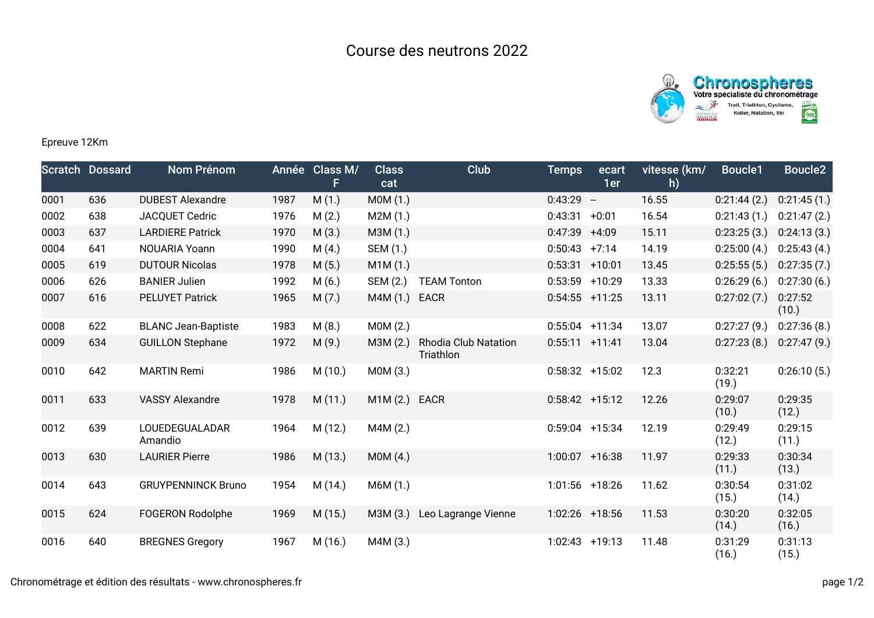



## Epreuve 12Km

|      | <b>Scratch Dossard</b> | <b>Nom Prénom</b>          |      | Année Class M/<br>F. | <b>Class</b><br>cat | Club                                     | <b>Temps</b>      | ecart<br>1er             | vitesse (km/<br>h) | <b>Boucle1</b>   | Boucle <sub>2</sub> |
|------|------------------------|----------------------------|------|----------------------|---------------------|------------------------------------------|-------------------|--------------------------|--------------------|------------------|---------------------|
| 0001 | 636                    | <b>DUBEST Alexandre</b>    | 1987 | M(1.)                | M0M (1.)            |                                          | 0:43:29           | $\overline{\phantom{a}}$ | 16.55              | 0:21:44(2)       | 0:21:45(1.)         |
| 0002 | 638                    | JACQUET Cedric             | 1976 | M(2.)                | M2M(1.)             |                                          | 0:43:31           | $+0:01$                  | 16.54              | 0:21:43(1.)      | 0:21:47(2.)         |
| 0003 | 637                    | <b>LARDIERE Patrick</b>    | 1970 | M(3.)                | M3M (1.)            |                                          | 0:47:39           | $+4:09$                  | 15.11              | 0:23:25(3.)      | 0:24:13(3.)         |
| 0004 | 641                    | NOUARIA Yoann              | 1990 | M(4.)                | SEM (1.)            |                                          | 0:50:43           | $+7:14$                  | 14.19              | 0:25:00(4.)      | 0:25:43(4.)         |
| 0005 | 619                    | <b>DUTOUR Nicolas</b>      | 1978 | M(5.)                | M1M(1.)             |                                          | $0:53:31 + 10:01$ |                          | 13.45              | 0:25:55(5)       | 0:27:35(7.)         |
| 0006 | 626                    | <b>BANIER Julien</b>       | 1992 | M(6.)                | SEM (2.)            | <b>TEAM Tonton</b>                       | 0:53:59           | $+10:29$                 | 13.33              | 0:26:29(6.)      | 0:27:30(6.)         |
| 0007 | 616                    | <b>PELUYET Patrick</b>     | 1965 | M(7.)                | M4M (1.)            | <b>EACR</b>                              | $0:54:55$ +11:25  |                          | 13.11              | 0:27:02(7.)      | 0:27:52<br>(10.)    |
| 0008 | 622                    | <b>BLANC Jean-Baptiste</b> | 1983 | M(8.)                | MOM(2.)             |                                          | $0:55:04$ +11:34  |                          | 13.07              | 0:27:27(9.)      | 0:27:36(8.)         |
| 0009 | 634                    | <b>GUILLON Stephane</b>    | 1972 | M(9.)                | M3M(2.)             | <b>Rhodia Club Natation</b><br>Triathlon | $0:55:11 + 11:41$ |                          | 13.04              | 0:27:23(8.)      | 0:27:47(9.)         |
| 0010 | 642                    | <b>MARTIN Remi</b>         | 1986 | M(10.)               | MOM(3.)             |                                          | $0:58:32 + 15:02$ |                          | 12.3               | 0:32:21<br>(19.) | 0:26:10(5.)         |
| 0011 | 633                    | <b>VASSY Alexandre</b>     | 1978 | M(11.)               | M1M (2.) EACR       |                                          | $0:58:42$ +15:12  |                          | 12.26              | 0:29:07<br>(10.) | 0:29:35<br>(12.)    |
| 0012 | 639                    | LOUEDEGUALADAR<br>Amandio  | 1964 | M(12.)               | M4M (2.)            |                                          | $0:59:04$ +15:34  |                          | 12.19              | 0:29:49<br>(12.) | 0:29:15<br>(11.)    |
| 0013 | 630                    | <b>LAURIER Pierre</b>      | 1986 | M(13.)               | MOM(4.)             |                                          | $1:00:07$ +16:38  |                          | 11.97              | 0:29:33<br>(11.) | 0:30:34<br>(13.)    |
| 0014 | 643                    | <b>GRUYPENNINCK Bruno</b>  | 1954 | M (14.)              | M6M(1.)             |                                          | $1:01:56$ +18:26  |                          | 11.62              | 0:30:54<br>(15.) | 0:31:02<br>(14.)    |
| 0015 | 624                    | <b>FOGERON Rodolphe</b>    | 1969 | M(15.)               | M3M (3.)            | Leo Lagrange Vienne                      | $1:02:26$ +18:56  |                          | 11.53              | 0:30:20<br>(14.) | 0:32:05<br>(16.)    |
| 0016 | 640                    | <b>BREGNES Gregory</b>     | 1967 | M(16.)               | M4M (3.)            |                                          | 1:02:43           | $+19:13$                 | 11.48              | 0:31:29<br>(16.) | 0:31:13<br>(15.)    |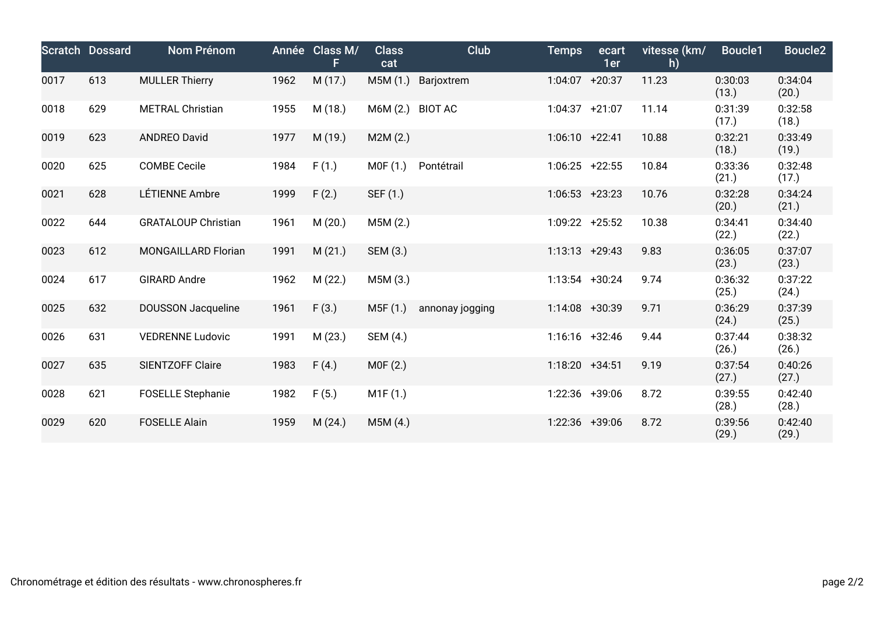|      | Scratch Dossard | Nom Prénom                 |      | Année Class M/<br>F. | <b>Class</b><br>cat | Club            | <b>Temps</b>      | ecart<br>1er | vitesse (km/<br>h) | Boucle1          | <b>Boucle2</b>   |
|------|-----------------|----------------------------|------|----------------------|---------------------|-----------------|-------------------|--------------|--------------------|------------------|------------------|
| 0017 | 613             | <b>MULLER Thierry</b>      | 1962 | M (17.)              | M5M (1.)            | Barjoxtrem      | $1:04:07$ +20:37  |              | 11.23              | 0:30:03<br>(13.) | 0:34:04<br>(20.) |
| 0018 | 629             | <b>METRAL Christian</b>    | 1955 | M (18.)              | M6M (2.)            | <b>BIOT AC</b>  | $1:04:37 +21:07$  |              | 11.14              | 0:31:39<br>(17.) | 0:32:58<br>(18.) |
| 0019 | 623             | <b>ANDREO David</b>        | 1977 | M (19.)              | M2M(2.)             |                 | $1:06:10 +22:41$  |              | 10.88              | 0:32:21<br>(18.) | 0:33:49<br>(19.) |
| 0020 | 625             | <b>COMBE Cecile</b>        | 1984 | F(1.)                | MOF(1.)             | Pontétrail      | $1:06:25$ +22:55  |              | 10.84              | 0:33:36<br>(21.) | 0:32:48<br>(17.) |
| 0021 | 628             | LÉTIENNE Ambre             | 1999 | F(2.)                | SEF (1.)            |                 | $1:06:53$ +23:23  |              | 10.76              | 0:32:28<br>(20.) | 0:34:24<br>(21.) |
| 0022 | 644             | <b>GRATALOUP Christian</b> | 1961 | M(20.)               | M5M(2.)             |                 | 1:09:22 +25:52    |              | 10.38              | 0:34:41<br>(22.) | 0:34:40<br>(22.) |
| 0023 | 612             | MONGAILLARD Florian        | 1991 | M(21.)               | SEM (3.)            |                 | $1:13:13 + 29:43$ |              | 9.83               | 0:36:05<br>(23.) | 0:37:07<br>(23.) |
| 0024 | 617             | <b>GIRARD Andre</b>        | 1962 | M(22.)               | M5M (3.)            |                 | 1:13:54 +30:24    |              | 9.74               | 0:36:32<br>(25.) | 0:37:22<br>(24.) |
| 0025 | 632             | <b>DOUSSON Jacqueline</b>  | 1961 | F(3.)                | M5F (1.)            | annonay jogging | 1:14:08 +30:39    |              | 9.71               | 0:36:29<br>(24.) | 0:37:39<br>(25.) |
| 0026 | 631             | <b>VEDRENNE Ludovic</b>    | 1991 | M(23.)               | SEM (4.)            |                 | $1:16:16$ +32:46  |              | 9.44               | 0:37:44<br>(26.) | 0:38:32<br>(26.) |
| 0027 | 635             | SIENTZOFF Claire           | 1983 | F(4.)                | MOF(2.)             |                 | $1:18:20 +34:51$  |              | 9.19               | 0:37:54<br>(27.) | 0:40:26<br>(27.) |
| 0028 | 621             | <b>FOSELLE Stephanie</b>   | 1982 | F(5.)                | M1F(1.)             |                 | 1:22:36 +39:06    |              | 8.72               | 0:39:55<br>(28.) | 0:42:40<br>(28.) |
| 0029 | 620             | <b>FOSELLE Alain</b>       | 1959 | M(24.)               | M5M (4.)            |                 | 1:22:36 +39:06    |              | 8.72               | 0:39:56<br>(29.) | 0:42:40<br>(29.) |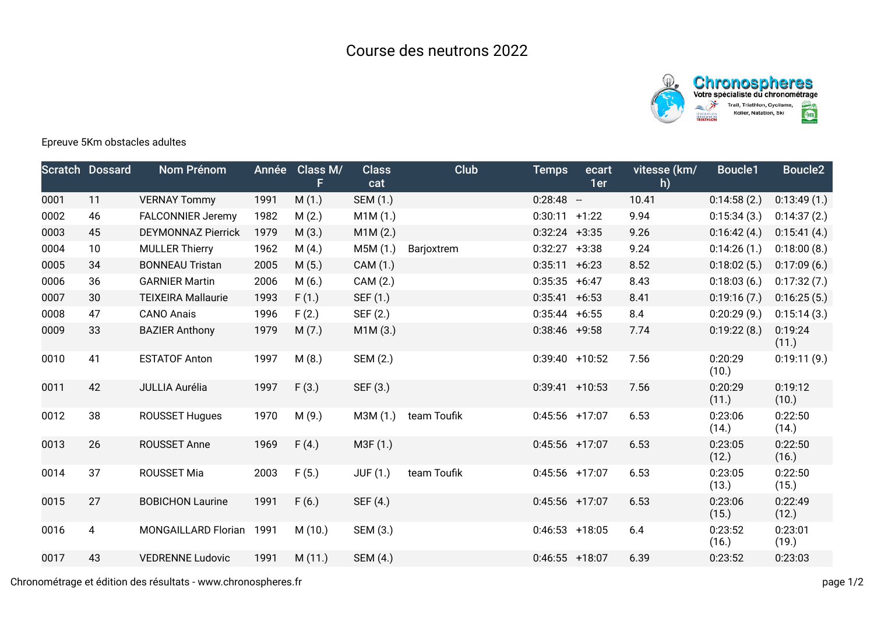

## Epreuve 5Km obstacles adultes

|      | <b>Scratch Dossard</b> | Nom Prénom                | Année | Class M/<br>F. | <b>Class</b><br>cat | Club        | <b>Temps</b>      | ecart<br>1er | vitesse (km/<br>h) | Boucle1          | <b>Boucle2</b>   |
|------|------------------------|---------------------------|-------|----------------|---------------------|-------------|-------------------|--------------|--------------------|------------------|------------------|
| 0001 | 11                     | <b>VERNAY Tommy</b>       | 1991  | M(1.)          | SEM (1.)            |             | $0:28:48 -$       |              | 10.41              | 0:14:58(2.)      | 0:13:49(1.)      |
| 0002 | 46                     | <b>FALCONNIER Jeremy</b>  | 1982  | M(2.)          | M1M(1.)             |             | $0:30:11 +1:22$   |              | 9.94               | 0:15:34(3.)      | 0:14:37(2.)      |
| 0003 | 45                     | <b>DEYMONNAZ Pierrick</b> | 1979  | M(3.)          | M1M(2.)             |             | $0:32:24$ +3:35   |              | 9.26               | 0:16:42(4.)      | 0:15:41(4.)      |
| 0004 | 10                     | <b>MULLER Thierry</b>     | 1962  | M(4.)          | M5M(1.)             | Barjoxtrem  | $0:32:27$ +3:38   |              | 9.24               | 0:14:26(1)       | 0:18:00(8.)      |
| 0005 | 34                     | <b>BONNEAU Tristan</b>    | 2005  | M(5.)          | CAM (1.)            |             | $0:35:11 + 6:23$  |              | 8.52               | 0:18:02(5.)      | 0:17:09(6.)      |
| 0006 | 36                     | <b>GARNIER Martin</b>     | 2006  | M(6.)          | CAM (2.)            |             | $0:35:35$ +6:47   |              | 8.43               | 0:18:03(6.)      | 0:17:32(7.)      |
| 0007 | 30                     | <b>TEIXEIRA Mallaurie</b> | 1993  | F(1.)          | SEF (1.)            |             | $0:35:41 + 6:53$  |              | 8.41               | 0:19:16(7.)      | 0:16:25(5.)      |
| 0008 | 47                     | <b>CANO Anais</b>         | 1996  | F(2.)          | SEF (2.)            |             | $0:35:44 + 6:55$  |              | 8.4                | 0:20:29(9.)      | 0:15:14(3.)      |
| 0009 | 33                     | <b>BAZIER Anthony</b>     | 1979  | M(7.)          | M1M(3.)             |             | $0:38:46$ +9:58   |              | 7.74               | 0:19:22(8.)      | 0:19:24<br>(11.) |
| 0010 | 41                     | <b>ESTATOF Anton</b>      | 1997  | M(8.)          | SEM (2.)            |             | $0:39:40 + 10:52$ |              | 7.56               | 0:20:29<br>(10.) | 0:19:11(9.)      |
| 0011 | 42                     | JULLIA Aurélia            | 1997  | F(3.)          | SEF (3.)            |             | $0:39:41$ +10:53  |              | 7.56               | 0:20:29<br>(11.) | 0:19:12<br>(10.) |
| 0012 | 38                     | <b>ROUSSET Hugues</b>     | 1970  | M(9.)          | M3M (1.)            | team Toufik | $0:45:56$ +17:07  |              | 6.53               | 0:23:06<br>(14.) | 0:22:50<br>(14.) |
| 0013 | 26                     | <b>ROUSSET Anne</b>       | 1969  | F(4.)          | M3F (1.)            |             | $0:45:56$ +17:07  |              | 6.53               | 0:23:05<br>(12.) | 0:22:50<br>(16.) |
| 0014 | 37                     | ROUSSET Mia               | 2003  | F(5.)          | <b>JUF (1.)</b>     | team Toufik | $0:45:56$ +17:07  |              | 6.53               | 0:23:05<br>(13.) | 0:22:50<br>(15.) |
| 0015 | 27                     | <b>BOBICHON Laurine</b>   | 1991  | F(6.)          | SEF (4.)            |             | $0:45:56$ +17:07  |              | 6.53               | 0:23:06<br>(15.) | 0:22:49<br>(12.) |
| 0016 | 4                      | MONGAILLARD Florian       | 1991  | M(10.)         | SEM (3.)            |             | $0:46:53$ +18:05  |              | 6.4                | 0:23:52<br>(16.) | 0:23:01<br>(19.) |
| 0017 | 43                     | <b>VEDRENNE Ludovic</b>   | 1991  | M(11.)         | SEM (4.)            |             | $0:46:55$ +18:07  |              | 6.39               | 0:23:52          | 0:23:03          |
|      |                        |                           |       |                |                     |             |                   |              |                    |                  |                  |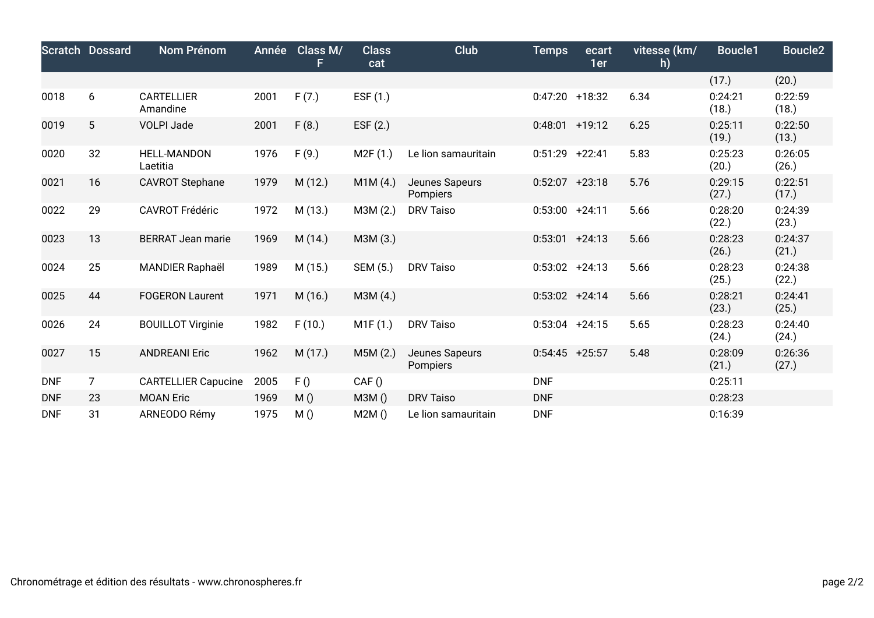|            | <b>Scratch Dossard</b> | Nom Prénom                     | Année | Class M/<br>F | <b>Class</b><br>cat | Club                              | <b>Temps</b>      | ecart<br>1er | vitesse (km/<br>h) | Boucle1          | <b>Boucle2</b>   |
|------------|------------------------|--------------------------------|-------|---------------|---------------------|-----------------------------------|-------------------|--------------|--------------------|------------------|------------------|
|            |                        |                                |       |               |                     |                                   |                   |              |                    | (17.)            | (20.)            |
| 0018       | 6                      | <b>CARTELLIER</b><br>Amandine  | 2001  | F(7.)         | ESF (1.)            |                                   | $0:47:20$ +18:32  |              | 6.34               | 0:24:21<br>(18.) | 0:22:59<br>(18.) |
| 0019       | 5                      | <b>VOLPI Jade</b>              | 2001  | F(8.)         | ESF $(2.)$          |                                   | $0:48:01$ +19:12  |              | 6.25               | 0:25:11<br>(19.) | 0:22:50<br>(13.) |
| 0020       | 32                     | <b>HELL-MANDON</b><br>Laetitia | 1976  | F(9.)         | M2F(1.)             | Le lion samauritain               | $0:51:29$ +22:41  |              | 5.83               | 0:25:23<br>(20.) | 0:26:05<br>(26.) |
| 0021       | 16                     | <b>CAVROT Stephane</b>         | 1979  | M(12.)        | M1M(4.)             | Jeunes Sapeurs<br><b>Pompiers</b> | $0:52:07$ +23:18  |              | 5.76               | 0:29:15<br>(27.) | 0:22:51<br>(17.) |
| 0022       | 29                     | <b>CAVROT Frédéric</b>         | 1972  | M(13.)        | M3M (2.)            | <b>DRV Taiso</b>                  | $0:53:00 +24:11$  |              | 5.66               | 0:28:20<br>(22.) | 0:24:39<br>(23.) |
| 0023       | 13                     | <b>BERRAT Jean marie</b>       | 1969  | M(14.)        | M3M (3.)            |                                   | $0:53:01 + 24:13$ |              | 5.66               | 0:28:23<br>(26.) | 0:24:37<br>(21.) |
| 0024       | 25                     | <b>MANDIER Raphaël</b>         | 1989  | M(15.)        | SEM (5.)            | <b>DRV Taiso</b>                  | $0:53:02 +24:13$  |              | 5.66               | 0:28:23<br>(25.) | 0:24:38<br>(22.) |
| 0025       | 44                     | <b>FOGERON Laurent</b>         | 1971  | M(16.)        | M3M (4.)            |                                   | $0:53:02 +24:14$  |              | 5.66               | 0:28:21<br>(23.) | 0:24:41<br>(25.) |
| 0026       | 24                     | <b>BOUILLOT Virginie</b>       | 1982  | F(10.)        | M1F(1.)             | <b>DRV Taiso</b>                  | $0:53:04$ +24:15  |              | 5.65               | 0:28:23<br>(24.) | 0:24:40<br>(24.) |
| 0027       | 15                     | <b>ANDREANI Eric</b>           | 1962  | M(17.)        | M5M(2.)             | Jeunes Sapeurs<br><b>Pompiers</b> | $0:54:45$ +25:57  |              | 5.48               | 0:28:09<br>(21.) | 0:26:36<br>(27.) |
| <b>DNF</b> | $\overline{7}$         | <b>CARTELLIER Capucine</b>     | 2005  | F()           | CAF()               |                                   | <b>DNF</b>        |              |                    | 0:25:11          |                  |
| <b>DNF</b> | 23                     | <b>MOAN Eric</b>               | 1969  | M()           | M3M()               | <b>DRV Taiso</b>                  | <b>DNF</b>        |              |                    | 0:28:23          |                  |
| <b>DNF</b> | 31                     | ARNEODO Rémy                   | 1975  | M()           | M2M()               | Le lion samauritain               | <b>DNF</b>        |              |                    | 0:16:39          |                  |